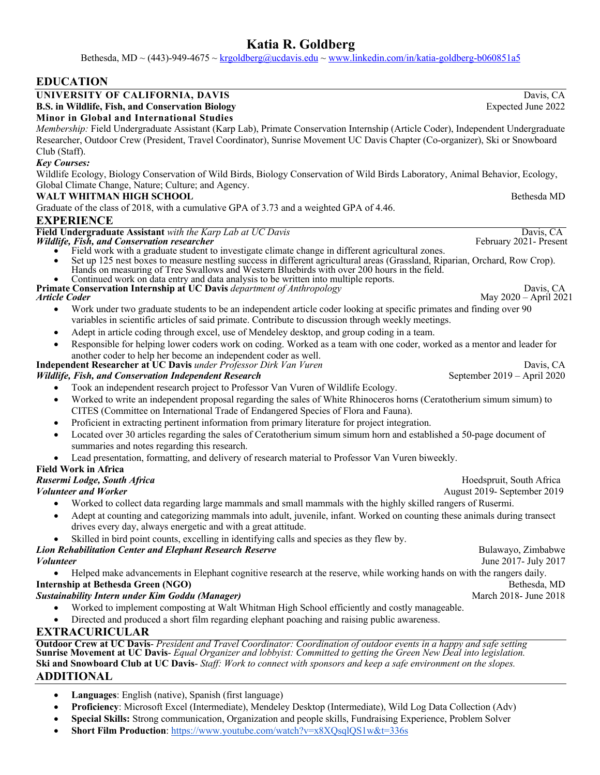Bethesda, MD ~ (443)-949-4675 ~  $krgoldberg@ucdavis.edu$  ~ www.linkedin.com/in/katia-goldberg-b060851a5

# **EDUCATION**

# **UNIVERSITY OF CALIFORNIA, DAVIS** Davis, CA<br> **B.S. in Wildlife, Fish, and Conservation Biology** Expected June 2022

**B.S. in Wildlife, Fish, and Conservation Biology Minor in Global and International Studies**

*Membership:* Field Undergraduate Assistant (Karp Lab), Primate Conservation Internship (Article Coder), Independent Undergraduate Researcher, Outdoor Crew (President, Travel Coordinator), Sunrise Movement UC Davis Chapter (Co-organizer), Ski or Snowboard Club (Staff).

### *Key Courses:*

Wildlife Ecology, Biology Conservation of Wild Birds, Biology Conservation of Wild Birds Laboratory, Animal Behavior, Ecology, Global Climate Change, Nature; Culture; and Agency.

### **WALT WHITMAN HIGH SCHOOL Bethesda MD**

Graduate of the class of 2018, with a cumulative GPA of 3.73 and a weighted GPA of 4.46.

### **EXPERIENCE**

| <b>EXPERIENCE</b>                                                                                                                                                                                                                                                                                                 |                             |
|-------------------------------------------------------------------------------------------------------------------------------------------------------------------------------------------------------------------------------------------------------------------------------------------------------------------|-----------------------------|
| Field Undergraduate Assistant with the Karp Lab at UC Davis                                                                                                                                                                                                                                                       | Davis, CA                   |
| Wildlife, Fish, and Conservation researcher                                                                                                                                                                                                                                                                       | February 2021- Present      |
| Field work with a graduate student to investigate climate change in different agricultural zones.                                                                                                                                                                                                                 |                             |
| Set up 125 nest boxes to measure nestling success in different agricultural areas (Grassland, Riparian, Orchard, Row Crop).<br>Hands on measuring of Tree Swallows and Western Bluebirds with over 200 hours in the field.<br>Continued work on data entry and data analysis to be written into multiple reports. |                             |
| Primate Conservation Internship at UC Davis department of Anthropology                                                                                                                                                                                                                                            | Davis, CA                   |
| <b>Article Coder</b>                                                                                                                                                                                                                                                                                              | May 2020 - April 2021       |
| Work under two graduate students to be an independent article coder looking at specific primates and finding over 90<br>$\bullet$                                                                                                                                                                                 |                             |
| variables in scientific articles of said primate. Contribute to discussion through weekly meetings.                                                                                                                                                                                                               |                             |
| Adept in article coding through excel, use of Mendeley desktop, and group coding in a team.                                                                                                                                                                                                                       |                             |
| Responsible for helping lower coders work on coding. Worked as a team with one coder, worked as a mentor and leader for<br>another coder to help her become an independent coder as well.                                                                                                                         |                             |
| Independent Researcher at UC Davis under Professor Dirk Van Vuren                                                                                                                                                                                                                                                 | Davis, CA                   |
| <b>Wildlife, Fish, and Conservation Independent Research</b>                                                                                                                                                                                                                                                      | September 2019 - April 2020 |
| Took an independent research project to Professor Van Vuren of Wildlife Ecology.                                                                                                                                                                                                                                  |                             |
| Worked to write an independent proposal regarding the sales of White Rhinoceros horns (Ceratotherium simum simum) to<br>$\bullet$                                                                                                                                                                                 |                             |
| CITES (Committee on International Trade of Endangered Species of Flora and Fauna).                                                                                                                                                                                                                                |                             |
| Proficient in extracting pertinent information from primary literature for project integration.<br>$\bullet$                                                                                                                                                                                                      |                             |
| Located over 30 articles regarding the sales of Ceratotherium simum simum horn and established a 50-page document of                                                                                                                                                                                              |                             |
| summaries and notes regarding this research.                                                                                                                                                                                                                                                                      |                             |
| Lead presentation, formatting, and delivery of research material to Professor Van Vuren biweekly.                                                                                                                                                                                                                 |                             |
| <b>Field Work in Africa</b>                                                                                                                                                                                                                                                                                       |                             |
| Rusermi Lodge, South Africa                                                                                                                                                                                                                                                                                       | Hoedspruit, South Africa    |
| <b>Volunteer and Worker</b>                                                                                                                                                                                                                                                                                       | August 2019- September 2019 |
| Worked to collect data regarding large mammals and small mammals with the highly skilled rangers of Rusermi.<br>$\bullet$                                                                                                                                                                                         |                             |
| Adept at counting and categorizing mammals into adult, juvenile, infant. Worked on counting these animals during transect<br>drives every day, always energetic and with a great attitude.                                                                                                                        |                             |
| Skilled in bird point counts, excelling in identifying calls and species as they flew by.                                                                                                                                                                                                                         |                             |
| <b>Lion Rehabilitation Center and Elephant Research Reserve</b>                                                                                                                                                                                                                                                   | Bulawayo, Zimbabwe          |
| <i>Volunteer</i>                                                                                                                                                                                                                                                                                                  | June 2017- July 2017        |
| Helped make advancements in Elephant cognitive research at the reserve, while working hands on with the rangers daily.                                                                                                                                                                                            |                             |
| <b>Internship at Bethesda Green (NGO)</b>                                                                                                                                                                                                                                                                         | Bethesda, MD                |
| <b>Sustainability Intern under Kim Goddu (Manager)</b>                                                                                                                                                                                                                                                            | March 2018- June 2018       |
| Worked to implement composting at Walt Whitman High School efficiently and costly manageable.                                                                                                                                                                                                                     |                             |
| Directed and produced a short film regarding elephant poaching and raising public awareness.<br>$\bullet$                                                                                                                                                                                                         |                             |
| <b>EXTRACURICULAR</b>                                                                                                                                                                                                                                                                                             |                             |
| <b>Outdoor Crew at UC Davis-</b> President and Travel Coordinator: Coordination of outdoor events in a happy and safe setting<br>Sunrise Movement at UC Davis- Equal Organizer and lobbyist: Committed to getting the Green New Deal into legislation.                                                            |                             |
| Ski and Snowboard Club at UC Davis-Staff: Work to connect with sponsors and keep a safe environment on the slopes.                                                                                                                                                                                                |                             |

### **ADDITIONAL**

- **Languages**: English (native), Spanish (first language)
- **Proficiency**: Microsoft Excel (Intermediate), Mendeley Desktop (Intermediate), Wild Log Data Collection (Adv)
- **Special Skills:** Strong communication, Organization and people skills, Fundraising Experience, Problem Solver
- **Short Film Production**: https://www.youtube.com/watch?v=x8XQsqlQS1w&t=336s